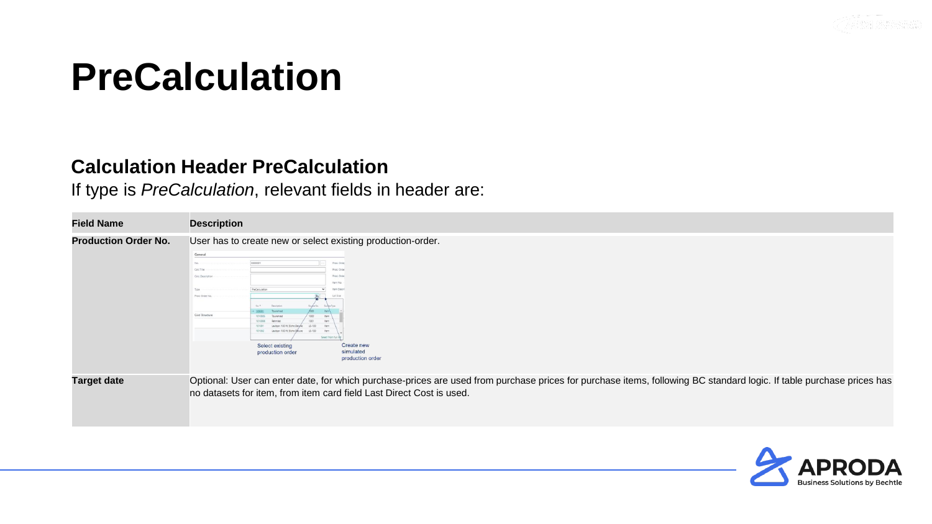

#### **Calculation Header PreCalculation**

If type is *PreCalculation*, relevant fields in header are:

| <b>Field Name</b>           | <b>Description</b>                                                                                                                                                                                                                                                                                                                                                                                                                                                                                                                               |
|-----------------------------|--------------------------------------------------------------------------------------------------------------------------------------------------------------------------------------------------------------------------------------------------------------------------------------------------------------------------------------------------------------------------------------------------------------------------------------------------------------------------------------------------------------------------------------------------|
| <b>Production Order No.</b> | User has to create new or select existing production-order.<br>General<br>kanggon <sub>1</sub><br>Prod. Orde<br>Calc Title<br>Prod. Orde<br>Prod. Orde<br>Calc Description<br>Item No.<br>PreCalculation<br>Item Descr<br>Prod. Order No.<br>Lot Size<br>No. 4<br>Description<br>Cost Structure<br>1010005<br>1010006<br>1001<br>15-100<br>101001<br>Lautenr, 100 W. Fiche Delular<br>LS-100<br>101002<br>Lautson, 100 W. Eiche Deluxe<br>Select from full<br>Create new<br>Select existing<br>simulated<br>production order<br>production order |
| <b>Target date</b>          | Optional: User can enter date, for which purchase-prices are used from purchase prices for purchase items, following BC standard logic. If table purchase prices has<br>no datasets for item, from item card field Last Direct Cost is used.                                                                                                                                                                                                                                                                                                     |

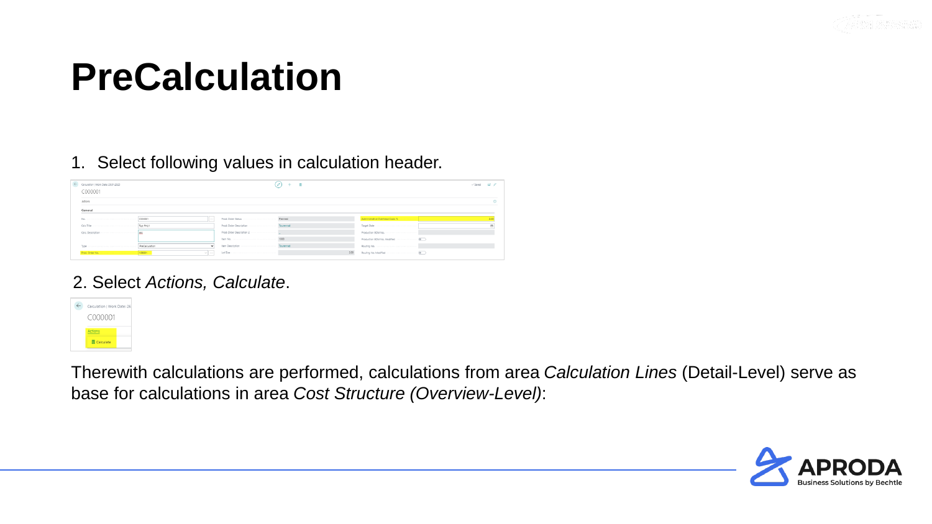

1. Select following values in calculation header.

| Calculation   Work Date: 26.01.2023<br>C000001 |         |                                                                                                                |      |                                 | √Saved <del>⊡</del> * |
|------------------------------------------------|---------|----------------------------------------------------------------------------------------------------------------|------|---------------------------------|-----------------------|
| Actions                                        |         |                                                                                                                |      |                                 |                       |
| General                                        |         |                                                                                                                |      |                                 |                       |
|                                                | $1 - 1$ |                                                                                                                |      | Administrative Overhead Costs % |                       |
|                                                |         |                                                                                                                |      |                                 |                       |
|                                                |         |                                                                                                                |      |                                 |                       |
|                                                |         |                                                                                                                |      |                                 |                       |
|                                                |         | Item Description (1999) (1999) (1999) (1999) (1999) (1999) (1999) (1999) (1999) (1999) (1999) (1999) (1999) (1 |      |                                 |                       |
|                                                | $\vee$  | Lot Size in a community construction of the                                                                    | 2.00 |                                 |                       |

#### 2. Select *Actions, Calculate*.



Therewith calculations are performed, calculations from area *Calculation Lines* (Detail-Level) serve as base for calculations in area *Cost Structure (Overview-Level)*:

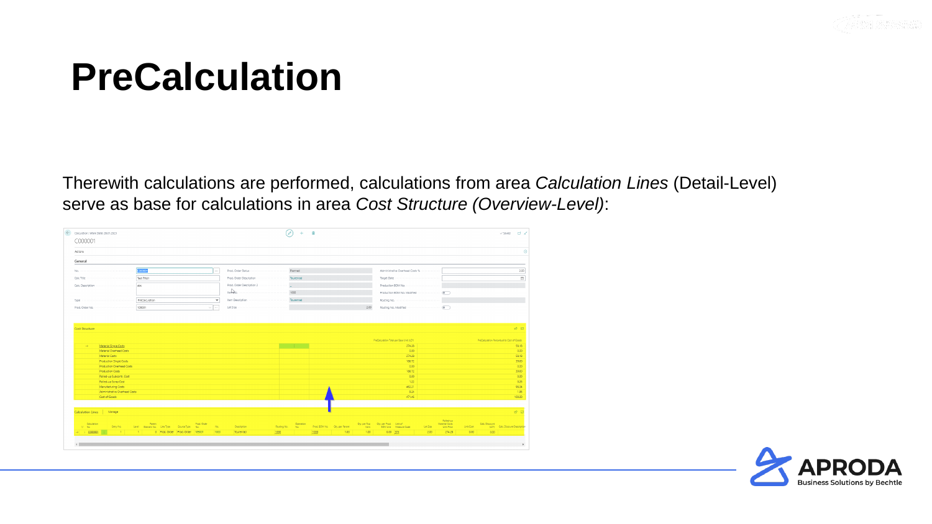

Therewith calculations are performed, calculations from area *Calculation Lines* (Detail-Level) serve as base for calculations in area *Cost Structure (Overview-Level)*:

| ← Calculation   Work Date: 26.01.2023<br>C000001 |                                                  |                                                   |                                  |                    |             |                           |                                 | 前    |                                |      |                                                              |          |                                           |           |                                            | = ದನ್<br>$\checkmark$ Saved      |
|--------------------------------------------------|--------------------------------------------------|---------------------------------------------------|----------------------------------|--------------------|-------------|---------------------------|---------------------------------|------|--------------------------------|------|--------------------------------------------------------------|----------|-------------------------------------------|-----------|--------------------------------------------|----------------------------------|
| Actions                                          |                                                  |                                                   |                                  |                    |             |                           |                                 |      |                                |      |                                                              |          |                                           |           |                                            |                                  |
| General                                          |                                                  |                                                   |                                  |                    |             |                           |                                 |      |                                |      |                                                              |          |                                           |           |                                            |                                  |
|                                                  |                                                  | 000001                                            |                                  |                    |             |                           |                                 |      |                                |      | Administrative Overhead Costs %                              |          |                                           |           |                                            | 2.00                             |
|                                                  |                                                  | Test FHU1                                         |                                  |                    |             |                           |                                 |      |                                |      |                                                              |          |                                           |           |                                            |                                  |
|                                                  |                                                  | abc                                               |                                  |                    |             | Prod. Order Description 2 |                                 |      |                                |      |                                                              |          |                                           |           |                                            |                                  |
|                                                  |                                                  |                                                   |                                  |                    |             |                           |                                 |      |                                |      |                                                              |          |                                           |           |                                            |                                  |
|                                                  |                                                  | PreCalculation                                    |                                  | $\checkmark$       |             |                           |                                 |      |                                |      |                                                              |          |                                           |           |                                            |                                  |
|                                                  |                                                  |                                                   |                                  |                    |             |                           |                                 |      |                                |      |                                                              |          |                                           |           |                                            |                                  |
|                                                  |                                                  | 109001                                            |                                  | $\vee$             |             |                           |                                 |      |                                | 2.00 |                                                              |          |                                           |           |                                            |                                  |
| <b>Cost Structure</b>                            |                                                  |                                                   |                                  |                    |             |                           |                                 |      |                                |      |                                                              |          |                                           |           |                                            | 18 日                             |
|                                                  |                                                  |                                                   |                                  |                    |             |                           |                                 |      |                                |      | PreCalculation Total per Base Unit (LCY)                     |          |                                           |           | PreCalculation Percentual to Cost of Goods |                                  |
| $\rightarrow$                                    | Material Single Costs<br>Material Overhead Costs |                                                   |                                  |                    |             |                           |                                 |      |                                |      | 274.28<br>0.00                                               |          |                                           |           |                                            | 58.18<br>0.00                    |
| Material Costs                                   |                                                  |                                                   |                                  |                    |             |                           |                                 |      |                                |      | 274.28                                                       |          |                                           |           |                                            | 58.18                            |
|                                                  | <b>Production Single Costs</b>                   |                                                   |                                  |                    |             |                           |                                 |      |                                |      | 186.72                                                       |          |                                           |           |                                            | 39.60                            |
|                                                  | Production Overhead Costs                        |                                                   |                                  |                    |             |                           |                                 |      |                                |      | 0.00                                                         |          |                                           |           |                                            | 0.00                             |
| <b>Production Costs</b>                          |                                                  |                                                   |                                  |                    |             |                           |                                 |      |                                |      | 186.72                                                       |          |                                           |           |                                            | 39.60                            |
|                                                  | Rolled-up Subcontr. Cost<br>Rolled-up Scrap Cost |                                                   |                                  |                    |             |                           |                                 |      |                                |      | 0.00<br>1.22                                                 |          |                                           |           |                                            | 0.00<br>0.26                     |
|                                                  | Manufacturing Costs                              |                                                   |                                  |                    |             |                           |                                 |      |                                |      | 462.21                                                       |          |                                           |           |                                            | 98.04                            |
|                                                  | Administrative Overhead Costs                    |                                                   |                                  |                    |             |                           |                                 |      |                                |      | 9.24                                                         |          |                                           |           |                                            | 1.96                             |
| Cost of Goods                                    |                                                  |                                                   |                                  |                    |             |                           |                                 |      |                                |      | 471.46                                                       |          |                                           |           |                                            | 100.00                           |
| <b>Calculation Lines</b>                         | Manage                                           |                                                   |                                  |                    |             |                           |                                 |      |                                |      |                                                              |          |                                           |           |                                            | 16 国                             |
| Calculation<br>$\gg$ No.                         | Entry No.                                        | Parent<br>Level Element No. Line Type Source Type | No.                              | Prod. Order<br>No. | Description |                           | Operation<br>Routing No.<br>No. |      | Prod. BOM No. City, per Parent | Item | Oty. per Top Oty. per Prod. Unit of<br>BOM Line Measure Code | Lot Size | Rolled-up<br>Material Costs<br>Unit Price | Unit Cost | Calc. Discount                             | (LCY) Calc. Discount Description |
| C000001                                          | $-1$                                             | $-1$                                              | 0 Prod. Order Prod. Order 109001 | 1000               | Tourenrad   | 1000                      |                                 | 1000 | 1.00                           | 1.00 | 0.00 STK                                                     | 2.00     | 274.28                                    | 0.00      | 0.00                                       |                                  |

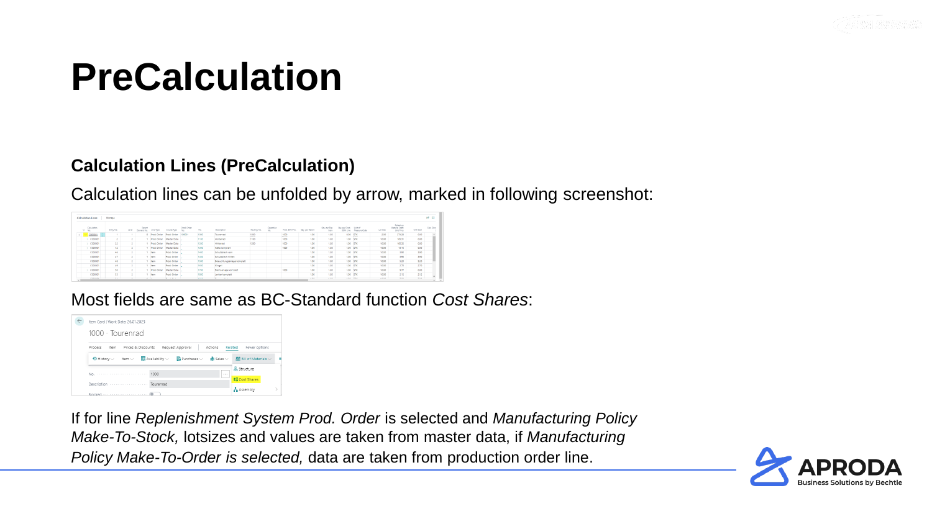

#### **Calculation Lines (PreCalculation)**

Calculation lines can be unfolded by arrow, marked in following screenshot:

|               | @ ⊠<br><b>Calculation Lines</b><br>Manage |                |                 |                          |                       |               |             |                   |               |                             |             |                  |               |                 |                             |                                   |                         |          |                                          |            |            |
|---------------|-------------------------------------------|----------------|-----------------|--------------------------|-----------------------|---------------|-------------|-------------------|---------------|-----------------------------|-------------|------------------|---------------|-----------------|-----------------------------|-----------------------------------|-------------------------|----------|------------------------------------------|------------|------------|
|               | $\approx$ No.                             | Calculation    | Entry No.       | Level                    | Parent<br>Element No. | Line Type     | Source Type | Prod. Order<br>No | No.           | Description                 | Routing No. | Operation<br>No. | Prod. BOM No. | Cry. per Parent | Oty, per Top<br><b>Psem</b> | Ohr. per Prod.<br><b>BOM Line</b> | Unit of<br>Massure Code | Lot Size | Rolled-up<br>Material Coms<br>Unit Price | Unit Cost  | Calc, Disc |
| $\rightarrow$ |                                           | C000001        |                 |                          |                       | 0 Prod. Order | Prod. Order | 09001             | 1000          | Tourenrad                   | 1000        |                  | 1000          | 1.00            | 1.00                        | 0.00 STK                          |                         | 2.00     | 274.28                                   | 0.00       |            |
|               |                                           | C000001        |                 |                          |                       | Prod. Order   | Master Data |                   | 1100          | Vorderrad                   | 1100        |                  | 1000          | 1.00            | 1.00                        | 1.00 STK                          |                         | 10.00    | 105.31                                   | 0.00       |            |
|               |                                           | C000001        | 22 <sub>1</sub> |                          |                       | Prod. Order   | Master Data |                   | 1200          | Hinterrad                   | 1200        |                  | 1000          | 1.00            | 1.00                        | 1.00 STK                          |                         | 10.00    | 105.32                                   | 0.00       |            |
|               |                                           | C000001        | 42              | $\overline{\phantom{a}}$ |                       | Prod. Order   | Master Data |                   | 1300          | Kette komplett              |             |                  | 1000          | 1.00            | 1.00                        | 1.00 57K                          |                         | 10.00    | 13.16                                    | 0.00       |            |
|               |                                           | C000001        | 46              |                          |                       | item          | Prod. Order |                   | 1400          | Schutzblech vom             |             |                  |               | 1.00            | 1.00                        | 1.00 STK                          |                         | 10.00    | 3.90                                     | 3.90       |            |
|               |                                           | C000001        | 47              | z                        |                       | <b>Item</b>   | Prod. Order |                   | 1450          | Schutzblech hinten          |             |                  |               | 1.00            | 1.00                        | 1.00 STK                          |                         | 10.00    | 3.90                                     | 3.90       |            |
|               |                                           | C000001        | 48              |                          |                       | <b>Item</b>   | Prod. Order |                   | 1500          | Beleuchtungsanlage komplett |             |                  |               | 1.00            | 1.00                        | 1.00 STK                          |                         | 10.00    | 5.20                                     | 5.20       |            |
|               |                                           | C000001        | 49              |                          |                       | item.         | Prod. Order |                   | 1600          | Klingel                     |             |                  |               | 1.00            | 1.00                        | 1.00 STK                          |                         | 10.00    | 2.70                                     | 2.70       |            |
|               |                                           | C000001        | 50              |                          |                       | Prod. Order   | Master Data |                   | 1700          | Bremsanlage komplett        |             |                  | 1000          | 1.00            | 1.00                        | 1.00 STK                          |                         | 10.00    | 0.77                                     | 0.00       |            |
|               |                                           | C000001        | 53              | $\sim$                   |                       | item.         | Prod. Order |                   | 1800          | Lenker komplett             |             |                  |               | 1.00            | 1.00                        | 1.00 5TK                          |                         | 10.00    | 2.12                                     | 2.12       |            |
|               |                                           | <b>CARRASE</b> | $-$             | $\sim$                   | and the fact          |               | .           |                   | $1000 + 1000$ | $\cdots$                    |             |                  |               | $-$             | $-25$                       | $-0.01$ $-0.01$                   |                         | $-0.001$ | $\sim$ 0.0                               | $\sim$ 0.0 |            |

Most fields are same as BC-Standard function *Cost Shares*:



If for line *Replenishment System Prod. Order* is selected and *Manufacturing Policy Make-To-Stock,* lotsizes and values are taken from master data, if *Manufacturing Policy Make-To-Order is selected,* data are taken from production order line.

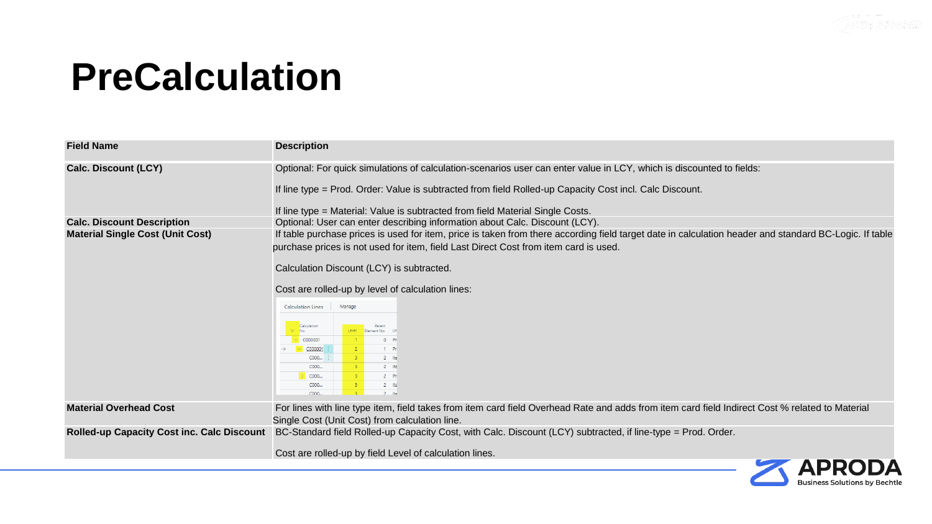

AP

**Business Solutions by Bechtle** 

# **PreCalculation**

| <b>Field Name</b>                          | <b>Description</b>                                                                                                                                                                                                                                                                                                                                                                                                                                                                                                                                                                                                         |
|--------------------------------------------|----------------------------------------------------------------------------------------------------------------------------------------------------------------------------------------------------------------------------------------------------------------------------------------------------------------------------------------------------------------------------------------------------------------------------------------------------------------------------------------------------------------------------------------------------------------------------------------------------------------------------|
| <b>Calc. Discount (LCY)</b>                | Optional: For quick simulations of calculation-scenarios user can enter value in LCY, which is discounted to fields:<br>If line type = Prod. Order: Value is subtracted from field Rolled-up Capacity Cost incl. Calc Discount.<br>If line type = Material: Value is subtracted from field Material Single Costs.                                                                                                                                                                                                                                                                                                          |
| <b>Calc. Discount Description</b>          | Optional: User can enter describing information about Calc. Discount (LCY).                                                                                                                                                                                                                                                                                                                                                                                                                                                                                                                                                |
| <b>Material Single Cost (Unit Cost)</b>    | If table purchase prices is used for item, price is taken from there according field target date in calculation header and standard BC-Logic. If table<br>purchase prices is not used for item, field Last Direct Cost from item card is used.<br>Calculation Discount (LCY) is subtracted.<br>Cost are rolled-up by level of calculation lines:<br>Manage<br><b>Calculation Lines</b><br>Calculation<br>Parent<br>Element No. Li<br>C000001<br>$0$ Pn<br>$-2$<br>C000001<br>1 Pn<br>$-3 -$<br>2 Ite<br>$C000$ :<br>C000<br>2 Ite<br>$-3$<br>C000<br>$2 - Pn$<br>$-3$<br>C000<br>$-3$<br>2 Ite<br>$-2$<br>C000.<br>$2$ Ite |
| <b>Material Overhead Cost</b>              | For lines with line type item, field takes from item card field Overhead Rate and adds from item card field Indirect Cost % related to Material<br>Single Cost (Unit Cost) from calculation line.                                                                                                                                                                                                                                                                                                                                                                                                                          |
| Rolled-up Capacity Cost inc. Calc Discount | BC-Standard field Rolled-up Capacity Cost, with Calc. Discount (LCY) subtracted, if line-type = Prod. Order.<br>Cost are rolled-up by field Level of calculation lines.                                                                                                                                                                                                                                                                                                                                                                                                                                                    |
|                                            | ADDAD A                                                                                                                                                                                                                                                                                                                                                                                                                                                                                                                                                                                                                    |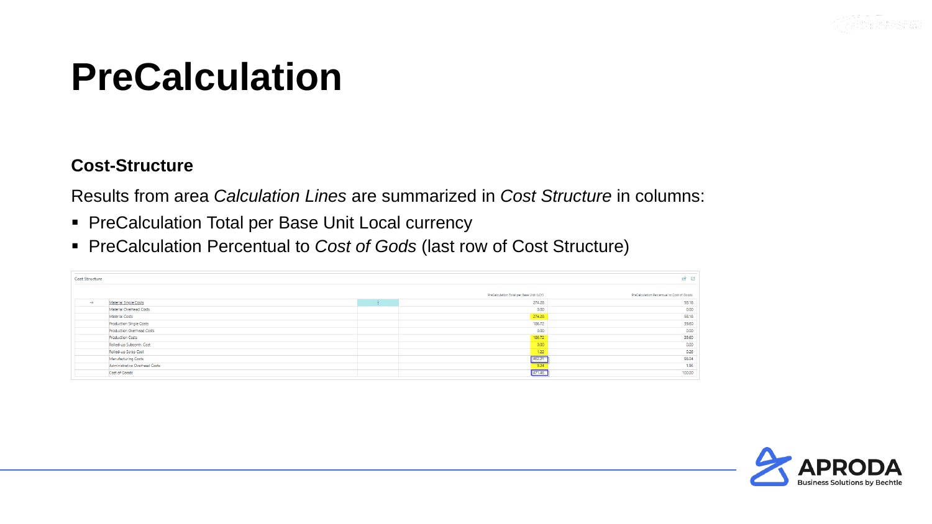

#### **Cost-Structure**

Results from area *Calculation Lines* are summarized in *Cost Structure* in columns:

- PreCalculation Total per Base Unit Local currency
- PreCalculation Percentual to *Cost of Gods* (last row of Cost Structure)

| <b>Cost Structure</b> |                                |      |                                          | は 団                                        |
|-----------------------|--------------------------------|------|------------------------------------------|--------------------------------------------|
|                       |                                |      | PreCalculation Total per Base Unit (LCY) | PreCalculation Percentual to Cost of Goods |
| $\rightarrow$         | <b>Material Single Costs</b>   | di c | 274.28                                   | 58.18                                      |
|                       | Material Overhead Costs        |      | 0.00                                     | 0.00                                       |
|                       | Material Costs                 |      | 274.28                                   | 58.18                                      |
|                       | <b>Production Single Costs</b> |      | 186.72                                   | 39.60                                      |
|                       | Production Overhead Costs      |      | 0.00                                     | 0.00                                       |
|                       | <b>Production Costs</b>        |      | 186.72                                   | 39.60                                      |
|                       | Rolled-up Subcontr. Cost       |      | 0.00                                     | 0.00                                       |
|                       | Rolled-up Scrap Cost           |      | 1.22                                     | 0.26                                       |
|                       | Manufacturing Costs            |      | 462.21                                   | 98.04                                      |
|                       | Administrative Overhead Costs  |      | 9.24                                     | 1.96                                       |
|                       | Cost of Goods                  |      | 471.46                                   | 100.00                                     |